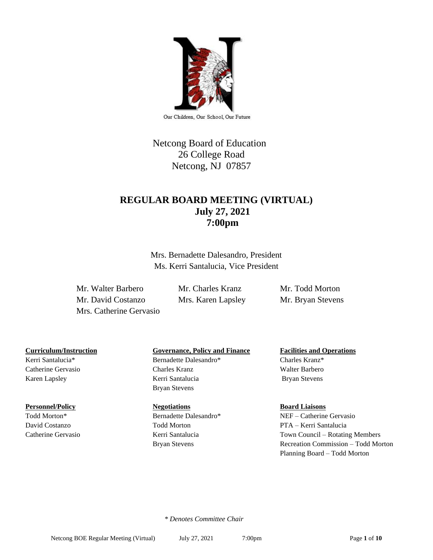

Netcong Board of Education 26 College Road Netcong, NJ 07857

# **REGULAR BOARD MEETING (VIRTUAL) July 27, 2021 7:00pm**

Mrs. Bernadette Dalesandro, President Ms. Kerri Santalucia, Vice President

Mr. Walter Barbero Mr. Charles Kranz Mr. Todd Morton Mr. David Costanzo Mrs. Karen Lapsley Mr. Bryan Stevens Mrs. Catherine Gervasio

Kerri Santalucia\* Bernadette Dalesandro\* Charles Kranz\*

#### **Personnel/Policy Board Liaisons Regulations Board Liaisons**

## **Curriculum/Instruction Governance, Policy and Finance Facilities and Operations**

Catherine Gervasio Charles Kranz Walter Barbero Karen Lapsley **Kerri Santalucia** Bryan Stevens Bryan Stevens

Todd Morton\* Bernadette Dalesandro\* NEF – Catherine Gervasio David Costanzo Todd Morton PTA – Kerri Santalucia Catherine Gervasio Kerri Santalucia Town Council – Rotating Members Bryan Stevens Recreation Commission – Todd Morton Planning Board – Todd Morton

 *\* Denotes Committee Chair*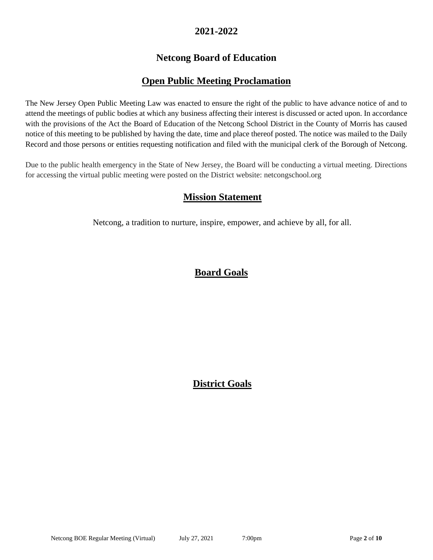## **2021-2022**

# **Netcong Board of Education**

## **Open Public Meeting Proclamation**

The New Jersey Open Public Meeting Law was enacted to ensure the right of the public to have advance notice of and to attend the meetings of public bodies at which any business affecting their interest is discussed or acted upon. In accordance with the provisions of the Act the Board of Education of the Netcong School District in the County of Morris has caused notice of this meeting to be published by having the date, time and place thereof posted. The notice was mailed to the Daily Record and those persons or entities requesting notification and filed with the municipal clerk of the Borough of Netcong.

Due to the public health emergency in the State of New Jersey, the Board will be conducting a virtual meeting. Directions for accessing the virtual public meeting were posted on the District website: netcongschool.org

## **Mission Statement**

Netcong, a tradition to nurture, inspire, empower, and achieve by all, for all.

# **Board Goals**

# **District Goals**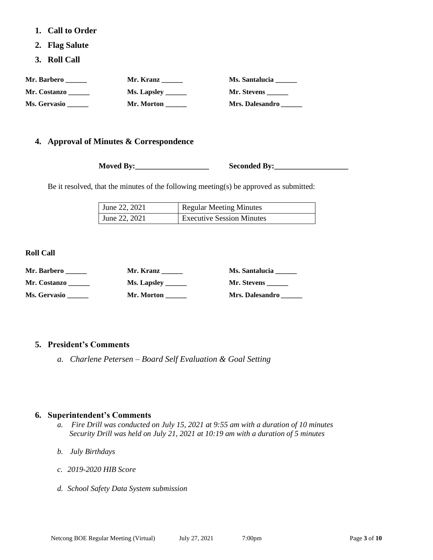- **1. Call to Order**
- **2. Flag Salute**
- **3. Roll Call**

| Mr. Barbero  | Mr. Kranz          | Ms. Santalucia  |
|--------------|--------------------|-----------------|
| Mr. Costanzo | Ms. Lapsley ______ | Mr. Stevens     |
| Ms. Gervasio | Mr. Morton         | Mrs. Dalesandro |

## **4. Approval of Minutes & Correspondence**

**Moved By:\_\_\_\_\_\_\_\_\_\_\_\_\_\_\_\_\_\_\_ Seconded By:\_\_\_\_\_\_\_\_\_\_\_\_\_\_\_\_\_\_\_**

Be it resolved, that the minutes of the following meeting(s) be approved as submitted:

| June 22, 2021 | <b>Regular Meeting Minutes</b>   |
|---------------|----------------------------------|
| June 22, 2021 | <b>Executive Session Minutes</b> |

**Roll Call**

| Mr. Barbero  | Mr. Kranz          | Ms. Santalucia     |
|--------------|--------------------|--------------------|
| Mr. Costanzo | <b>Ms. Lapsley</b> | <b>Mr. Stevens</b> |
| Ms. Gervasio | Mr. Morton         | Mrs. Dalesandro    |

### **5. President's Comments**

*a. Charlene Petersen – Board Self Evaluation & Goal Setting* 

### **6. Superintendent's Comments**

- *a. Fire Drill was conducted on July 15, 2021 at 9:55 am with a duration of 10 minutes Security Drill was held on July 21, 2021 at 10:19 am with a duration of 5 minutes*
- *b. July Birthdays*
- *c. 2019-2020 HIB Score*
- *d. School Safety Data System submission*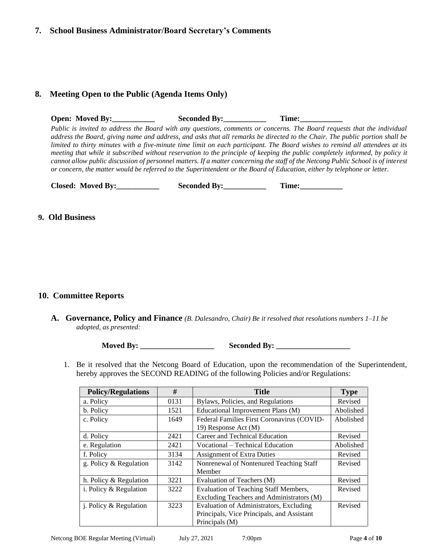#### **7. School Business Administrator/Board Secretary's Comments**

## **8. Meeting Open to the Public (Agenda Items Only)**

**Open: Moved By:** Seconded By: Time: *Public is invited to address the Board with any questions, comments or concerns. The Board requests that the individual address the Board, giving name and address, and asks that all remarks be directed to the Chair. The public portion shall be limited to thirty minutes with a five-minute time limit on each participant. The Board wishes to remind all attendees at its meeting that while it subscribed without reservation to the principle of keeping the public completely informed, by policy it cannot allow public discussion of personnel matters. If a matter concerning the staff of the Netcong Public School is of interest or concern, the matter would be referred to the Superintendent or the Board of Education, either by telephone or letter.*

|  | <b>Closed: Moved By:</b> | <b>Seconded By:</b> | r'ime: |
|--|--------------------------|---------------------|--------|
|--|--------------------------|---------------------|--------|

#### **9. Old Business**

### **10. Committee Reports**

**A. Governance, Policy and Finance** *(B. Dalesandro, Chair) Be it resolved that resolutions numbers 1–11 be adopted, as presented:*

**Moved By: \_\_\_\_\_\_\_\_\_\_\_\_\_\_\_\_\_\_\_ Seconded By: \_\_\_\_\_\_\_\_\_\_\_\_\_\_\_\_\_\_\_**

1. Be it resolved that the Netcong Board of Education, upon the recommendation of the Superintendent, hereby approves the SECOND READING of the following Policies and/or Regulations:

| <b>Policy/Regulations</b> | #    | Title                                        | <b>Type</b> |
|---------------------------|------|----------------------------------------------|-------------|
| a. Policy                 | 0131 | Bylaws, Policies, and Regulations            | Revised     |
| b. Policy                 | 1521 | Educational Improvement Plans (M)            | Abolished   |
| c. Policy                 | 1649 | Federal Families First Coronavirus (COVID-   | Abolished   |
|                           |      | 19) Response Act (M)                         |             |
| d. Policy                 | 2421 | Career and Technical Education               | Revised     |
| e. Regulation             | 2421 | Vocational – Technical Education             | Abolished   |
| f. Policy                 | 3134 | <b>Assignment of Extra Duties</b>            | Revised     |
| g. Policy & Regulation    | 3142 | Nonrenewal of Nontenured Teaching Staff      | Revised     |
|                           |      | Member                                       |             |
| h. Policy & Regulation    | 3221 | Evaluation of Teachers (M)                   | Revised     |
| i. Policy & Regulation    | 3222 | <b>Evaluation of Teaching Staff Members,</b> | Revised     |
|                           |      | Excluding Teachers and Administrators (M)    |             |
| j. Policy & Regulation    | 3223 | Evaluation of Administrators, Excluding      | Revised     |
|                           |      | Principals, Vice Principals, and Assistant   |             |
|                           |      | Principals (M)                               |             |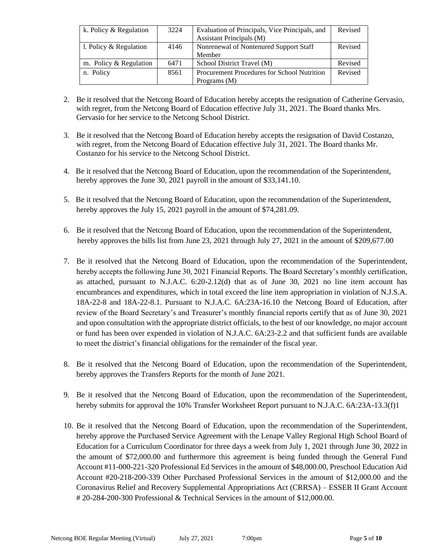| k. Policy & Regulation   | 3224 | Evaluation of Principals, Vice Principals, and     | Revised |
|--------------------------|------|----------------------------------------------------|---------|
|                          |      | Assistant Principals (M)                           |         |
| 1. Policy $&$ Regulation | 4146 | Nonrenewal of Nontenured Support Staff             | Revised |
|                          |      | Member                                             |         |
| m. Policy & Regulation   | 6471 | School District Travel (M)                         | Revised |
| n. Policy                | 8561 | <b>Procurement Procedures for School Nutrition</b> | Revised |
|                          |      | Programs $(M)$                                     |         |

- 2. Be it resolved that the Netcong Board of Education hereby accepts the resignation of Catherine Gervasio, with regret, from the Netcong Board of Education effective July 31, 2021. The Board thanks Mrs. Gervasio for her service to the Netcong School District.
- 3. Be it resolved that the Netcong Board of Education hereby accepts the resignation of David Costanzo, with regret, from the Netcong Board of Education effective July 31, 2021. The Board thanks Mr. Costanzo for his service to the Netcong School District.
- 4. Be it resolved that the Netcong Board of Education, upon the recommendation of the Superintendent, hereby approves the June 30, 2021 payroll in the amount of \$33,141.10.
- 5. Be it resolved that the Netcong Board of Education, upon the recommendation of the Superintendent, hereby approves the July 15, 2021 payroll in the amount of \$74,281.09.
- 6. Be it resolved that the Netcong Board of Education, upon the recommendation of the Superintendent, hereby approves the bills list from June 23, 2021 through July 27, 2021 in the amount of \$209,677.00
- 7. Be it resolved that the Netcong Board of Education, upon the recommendation of the Superintendent, hereby accepts the following June 30, 2021 Financial Reports. The Board Secretary's monthly certification, as attached, pursuant to N.J.A.C. 6:20-2.12(d) that as of June 30, 2021 no line item account has encumbrances and expenditures, which in total exceed the line item appropriation in violation of N.J.S.A. 18A-22-8 and 18A-22-8.1. Pursuant to N.J.A.C. 6A:23A-16.10 the Netcong Board of Education, after review of the Board Secretary's and Treasurer's monthly financial reports certify that as of June 30, 2021 and upon consultation with the appropriate district officials, to the best of our knowledge, no major account or fund has been over expended in violation of N.J.A.C. 6A:23-2.2 and that sufficient funds are available to meet the district's financial obligations for the remainder of the fiscal year.
- 8. Be it resolved that the Netcong Board of Education, upon the recommendation of the Superintendent, hereby approves the Transfers Reports for the month of June 2021.
- 9. Be it resolved that the Netcong Board of Education, upon the recommendation of the Superintendent, hereby submits for approval the 10% Transfer Worksheet Report pursuant to N.J.A.C. 6A:23A-13.3(f)1
- 10. Be it resolved that the Netcong Board of Education, upon the recommendation of the Superintendent, hereby approve the Purchased Service Agreement with the Lenape Valley Regional High School Board of Education for a Curriculum Coordinator for three days a week from July 1, 2021 through June 30, 2022 in the amount of \$72,000.00 and furthermore this agreement is being funded through the General Fund Account #11-000-221-320 Professional Ed Services in the amount of \$48,000.00, Preschool Education Aid Account #20-218-200-339 Other Purchased Professional Services in the amount of \$12,000.00 and the Coronavirus Relief and Recovery Supplemental Appropriations Act (CRRSA) – ESSER II Grant Account # 20-284-200-300 Professional & Technical Services in the amount of \$12,000.00.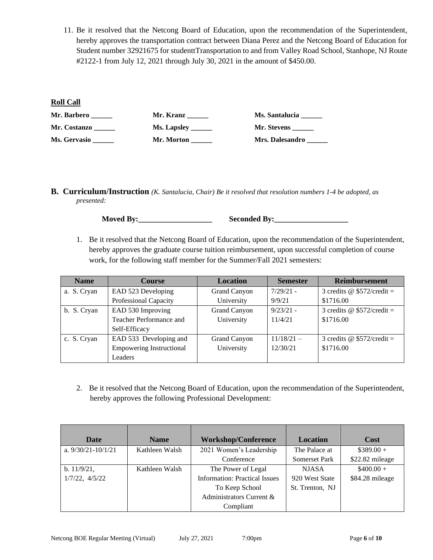11. Be it resolved that the Netcong Board of Education, upon the recommendation of the Superintendent, hereby approves the transportation contract between Diana Perez and the Netcong Board of Education for Student number 32921675 for studenttTransportation to and from Valley Road School, Stanhope, NJ Route #2122-1 from July 12, 2021 through July 30, 2021 in the amount of \$450.00.

#### **Roll Call**

| Mr. Barbero  | Mr. Kranz          | <b>Ms. Santalucia</b>  |
|--------------|--------------------|------------------------|
| Mr. Costanzo | <b>Ms. Lapsley</b> | Mr. Stevens            |
| Ms. Gervasio | Mr. Morton         | <b>Mrs. Dalesandro</b> |

**B. Curriculum/Instruction** *(K. Santalucia, Chair) Be it resolved that resolution numbers 1-4 be adopted, as presented:*

**Moved By:\_\_\_\_\_\_\_\_\_\_\_\_\_\_\_\_\_\_\_ Seconded By:\_\_\_\_\_\_\_\_\_\_\_\_\_\_\_\_\_\_\_**

1. Be it resolved that the Netcong Board of Education, upon the recommendation of the Superintendent, hereby approves the graduate course tuition reimbursement, upon successful completion of course work, for the following staff member for the Summer/Fall 2021 semesters:

| <b>Name</b> | <b>Course</b>                   | <b>Location</b>     | <b>Semester</b> | <b>Reimbursement</b>        |
|-------------|---------------------------------|---------------------|-----------------|-----------------------------|
| a. S. Cryan | EAD 523 Developing              | Grand Canyon        | $7/29/21$ -     | 3 credits @ $$572/credit =$ |
|             | Professional Capacity           | University          | 9/9/21          | \$1716.00                   |
| b. S. Cryan | EAD 530 Improving               | Grand Canyon        | $9/23/21 -$     | 3 credits @ $$572/credit =$ |
|             | Teacher Performance and         | University          | 11/4/21         | \$1716.00                   |
|             | Self-Efficacy                   |                     |                 |                             |
| c. S. Cryan | EAD 533 Developing and          | <b>Grand Canyon</b> | $11/18/21 -$    | 3 credits @ $$572/credit =$ |
|             | <b>Empowering Instructional</b> | University          | 12/30/21        | \$1716.00                   |
|             | Leaders                         |                     |                 |                             |

2. Be it resolved that the Netcong Board of Education, upon the recommendation of the Superintendent, hereby approves the following Professional Development:

| Date                   | <b>Name</b>    | <b>Workshop/Conference</b>           | Location             | Cost            |
|------------------------|----------------|--------------------------------------|----------------------|-----------------|
| a. $9/30/21 - 10/1/21$ | Kathleen Walsh | 2021 Women's Leadership              | The Palace at        | $$389.00+$      |
|                        |                | Conference                           | <b>Somerset Park</b> | \$22.82 mileage |
| b. 11/9/21,            | Kathleen Walsh | The Power of Legal                   | <b>NJASA</b>         | $$400.00+$      |
| $1/7/22$ , $4/5/22$    |                | <b>Information: Practical Issues</b> | 920 West State       | \$84.28 mileage |
|                        |                | To Keep School                       | St. Trenton, NJ      |                 |
|                        |                | Administrators Current &             |                      |                 |
|                        |                | Compliant                            |                      |                 |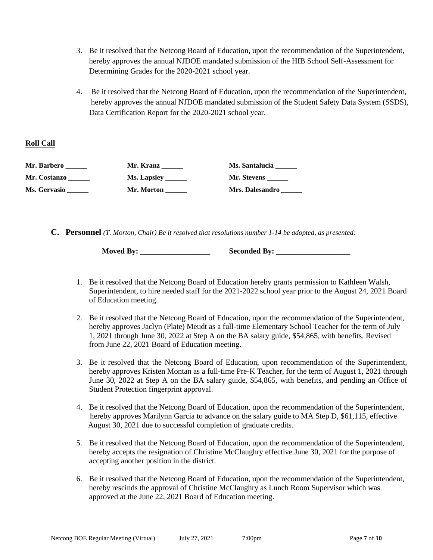- 3. Be it resolved that the Netcong Board of Education, upon the recommendation of the Superintendent, hereby approves the annual NJDOE mandated submission of the HIB School Self-Assessment for Determining Grades for the 2020-2021 school year.
- 4. Be it resolved that the Netcong Board of Education, upon the recommendation of the Superintendent, hereby approves the annual NJDOE mandated submission of the Student Safety Data System (SSDS), Data Certification Report for the 2020-2021 school year.

### **Roll Call**

| Mr. Barbero  | Mr. Kranz   | Ms. Santalucia  |
|--------------|-------------|-----------------|
| Mr. Costanzo | Ms. Lapsley | Mr. Stevens     |
| Ms. Gervasio | Mr. Morton  | Mrs. Dalesandro |

**C. Personnel** *(T. Morton, Chair) Be it resolved that resolutions number 1-14 be adopted, as presented:*

**Moved By: \_\_\_\_\_\_\_\_\_\_\_\_\_\_\_\_\_\_ Seconded By: \_\_\_\_\_\_\_\_\_\_\_\_\_\_\_\_\_\_\_**

- 1. Be it resolved that the Netcong Board of Education hereby grants permission to Kathleen Walsh, Superintendent, to hire needed staff for the 2021-2022 school year prior to the August 24, 2021 Board of Education meeting.
- 2. Be it resolved that the Netcong Board of Education, upon the recommendation of the Superintendent, hereby approves Jaclyn (Plate) Meudt as a full-time Elementary School Teacher for the term of July 1, 2021 through June 30, 2022 at Step A on the BA salary guide, \$54,865, with benefits. Revised from June 22, 2021 Board of Education meeting.
- 3. Be it resolved that the Netcong Board of Education, upon recommendation of the Superintendent, hereby approves Kristen Montan as a full-time Pre-K Teacher, for the term of August 1, 2021 through June 30, 2022 at Step A on the BA salary guide, \$54,865, with benefits, and pending an Office of Student Protection fingerprint approval.
- 4. Be it resolved that the Netcong Board of Education, upon the recommendation of the Superintendent, hereby approves Marilynn Garcia to advance on the salary guide to MA Step D, \$61,115, effective August 30, 2021 due to successful completion of graduate credits.
- 5. Be it resolved that the Netcong Board of Education, upon the recommendation of the Superintendent, hereby accepts the resignation of Christine McClaughry effective June 30, 2021 for the purpose of accepting another position in the district.
- 6. Be it resolved that the Netcong Board of Education, upon the recommendation of the Superintendent, hereby rescinds the approval of Christine McClaughry as Lunch Room Supervisor which was approved at the June 22, 2021 Board of Education meeting.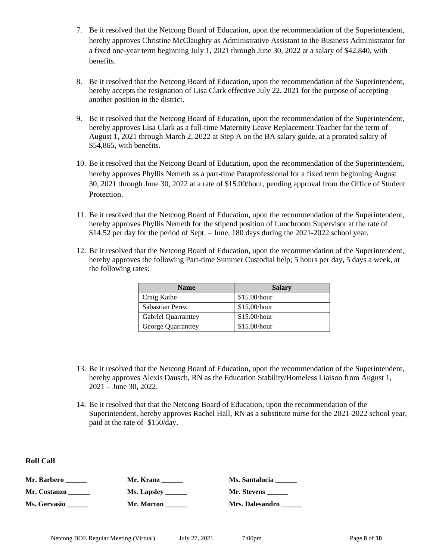- 7. Be it resolved that the Netcong Board of Education, upon the recommendation of the Superintendent, hereby approves Christine McClaughry as Administrative Assistant to the Business Administrator for a fixed one-year term beginning July 1, 2021 through June 30, 2022 at a salary of \$42,840, with benefits.
- 8. Be it resolved that the Netcong Board of Education, upon the recommendation of the Superintendent, hereby accepts the resignation of Lisa Clark effective July 22, 2021 for the purpose of accepting another position in the district.
- 9. Be it resolved that the Netcong Board of Education, upon the recommendation of the Superintendent, hereby approves Lisa Clark as a full-time Maternity Leave Replacement Teacher for the term of August 1, 2021 through March 2, 2022 at Step A on the BA salary guide, at a prorated salary of \$54,865, with benefits.
- 10. Be it resolved that the Netcong Board of Education, upon the recommendation of the Superintendent, hereby approves Phyllis Nemeth as a part-time Paraprofessional for a fixed term beginning August 30, 2021 through June 30, 2022 at a rate of \$15.00/hour, pending approval from the Office of Student Protection.
- 11. Be it resolved that the Netcong Board of Education, upon the recommendation of the Superintendent, hereby approves Phyllis Nemeth for the stipend position of Lunchroom Supervisor at the rate of \$14.52 per day for the period of Sept. – June, 180 days during the 2021-2022 school year.
- 12. Be it resolved that the Netcong Board of Education, upon the recommendation of the Superintendent, hereby approves the following Part-time Summer Custodial help; 5 hours per day, 5 days a week, at the following rates:

| <b>Name</b>                | <b>Salary</b> |
|----------------------------|---------------|
| Craig Kathe                | \$15.00/hour  |
| Sabastian Perez            | \$15.00/hour  |
| <b>Gabriel Quarranttey</b> | \$15.00/hour  |
| George Quarranttey         | \$15.00/hour  |

- 13. Be it resolved that the Netcong Board of Education, upon the recommendation of the Superintendent, hereby approves Alexis Dausch, RN as the Education Stability/Homeless Liaison from August 1, 2021 – June 30, 2022.
- 14. Be it resolved that that the Netcong Board of Education, upon the recommendation of the Superintendent, hereby approves Rachel Hall, RN as a substitute nurse for the 2021-2022 school year, paid at the rate of \$150/day.

**Roll Call**

| Mr. Barbero         | Mr. Kranz           | Ms. Santalucia  |
|---------------------|---------------------|-----------------|
| <b>Mr. Costanzo</b> | Ms. Lapsley _______ | Mr. Stevens     |
| <b>Ms. Gervasio</b> | Mr. Morton          | Mrs. Dalesandro |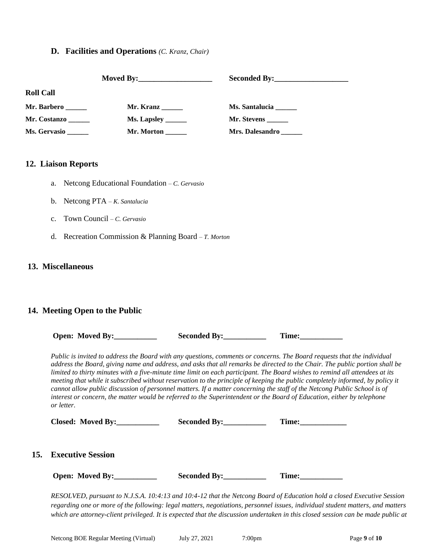## **D. Facilities and Operations** *(C. Kranz, Chair)*

| <b>Roll Call</b> |             |                        |  |
|------------------|-------------|------------------------|--|
| Mr. Barbero      | Mr. Kranz   | <b>Ms. Santalucia</b>  |  |
| Mr. Costanzo     | Ms. Lapsley | Mr. Stevens _______    |  |
| Ms. Gervasio     | Mr. Morton  | <b>Mrs. Dalesandro</b> |  |

## **12. Liaison Reports**

- a. Netcong Educational Foundation *– C. Gervasio*
- b. Netcong PTA *– K. Santalucia*
- c. Town Council *– C. Gervasio*
- d. Recreation Commission & Planning Board *– T. Morton*

#### **13. Miscellaneous**

#### **14. Meeting Open to the Public**

| Open: Moved By:                                                                                                                                                                                                                                                                                                                                                                                                                                                                                                                                                                                                                                                                                                                                                                             |                    | Time: |  |  |  |
|---------------------------------------------------------------------------------------------------------------------------------------------------------------------------------------------------------------------------------------------------------------------------------------------------------------------------------------------------------------------------------------------------------------------------------------------------------------------------------------------------------------------------------------------------------------------------------------------------------------------------------------------------------------------------------------------------------------------------------------------------------------------------------------------|--------------------|-------|--|--|--|
| Public is invited to address the Board with any questions, comments or concerns. The Board requests that the individual<br>address the Board, giving name and address, and asks that all remarks be directed to the Chair. The public portion shall be<br>limited to thirty minutes with a five-minute time limit on each participant. The Board wishes to remind all attendees at its<br>meeting that while it subscribed without reservation to the principle of keeping the public completely informed, by policy it<br>cannot allow public discussion of personnel matters. If a matter concerning the staff of the Netcong Public School is of<br>interest or concern, the matter would be referred to the Superintendent or the Board of Education, either by telephone<br>or letter. |                    |       |  |  |  |
| Closed: Moved By:                                                                                                                                                                                                                                                                                                                                                                                                                                                                                                                                                                                                                                                                                                                                                                           | Seconded By: Time: |       |  |  |  |
| <b>15.</b> Executive Session                                                                                                                                                                                                                                                                                                                                                                                                                                                                                                                                                                                                                                                                                                                                                                |                    |       |  |  |  |
| Open: Moved By:                                                                                                                                                                                                                                                                                                                                                                                                                                                                                                                                                                                                                                                                                                                                                                             |                    | Time: |  |  |  |
| RESOLVED, pursuant to N.J.S.A. 10:4:13 and 10:4-12 that the Netcong Board of Education hold a closed Executive Session                                                                                                                                                                                                                                                                                                                                                                                                                                                                                                                                                                                                                                                                      |                    |       |  |  |  |

*regarding one or more of the following: legal matters, negotiations, personnel issues, individual student matters, and matters which are attorney-client privileged. It is expected that the discussion undertaken in this closed session can be made public at*